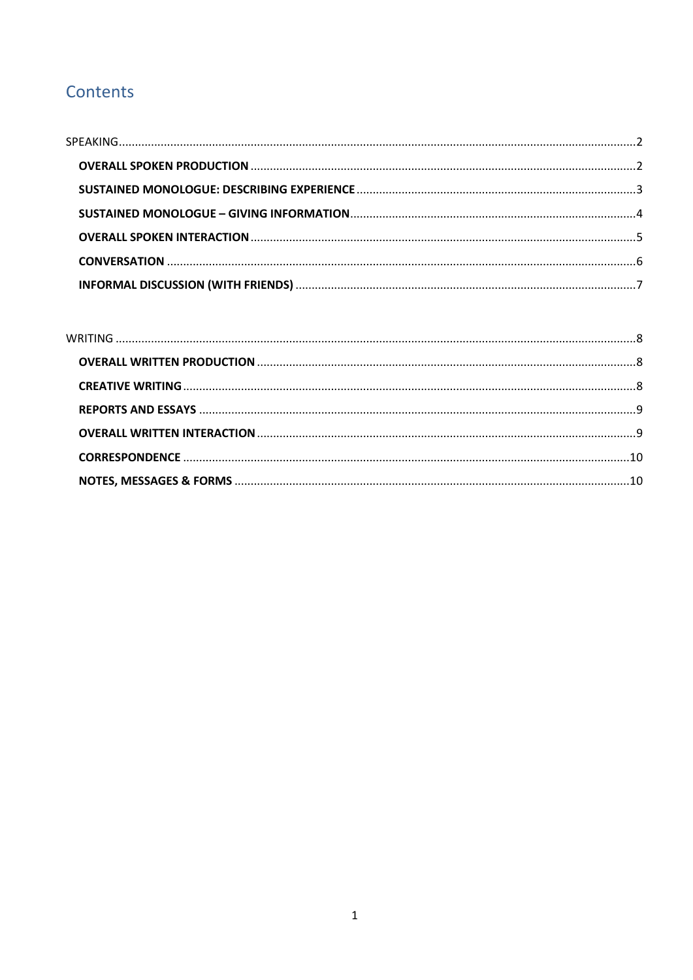## Contents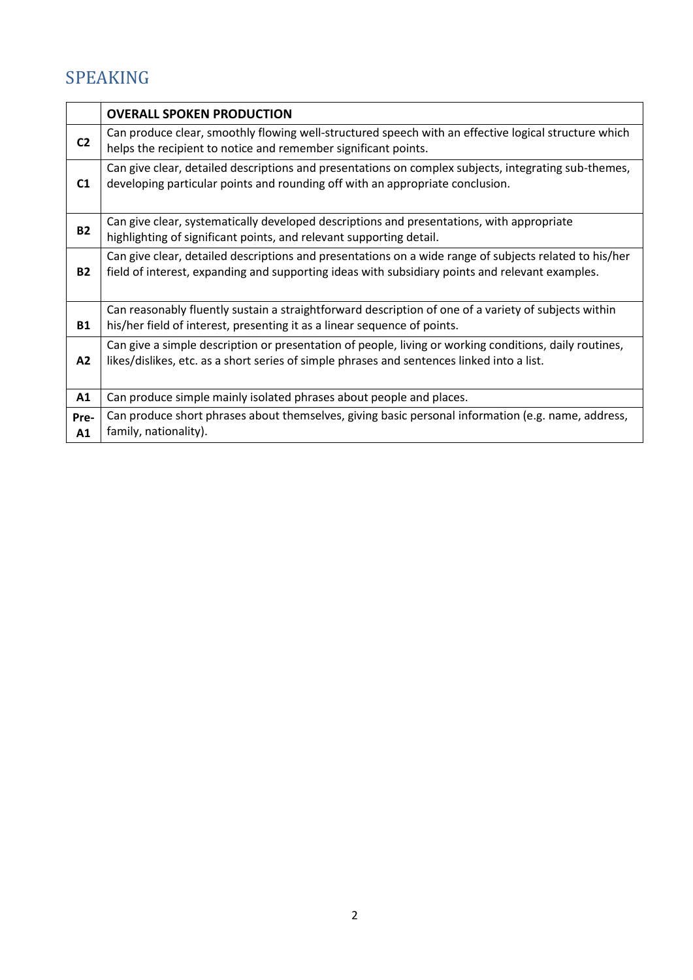## <span id="page-1-0"></span>SPEAKING

<span id="page-1-1"></span>

|                | <b>OVERALL SPOKEN PRODUCTION</b>                                                                                                                                                                          |
|----------------|-----------------------------------------------------------------------------------------------------------------------------------------------------------------------------------------------------------|
| C <sub>2</sub> | Can produce clear, smoothly flowing well-structured speech with an effective logical structure which<br>helps the recipient to notice and remember significant points.                                    |
| C1             | Can give clear, detailed descriptions and presentations on complex subjects, integrating sub-themes,<br>developing particular points and rounding off with an appropriate conclusion.                     |
| <b>B2</b>      | Can give clear, systematically developed descriptions and presentations, with appropriate<br>highlighting of significant points, and relevant supporting detail.                                          |
| <b>B2</b>      | Can give clear, detailed descriptions and presentations on a wide range of subjects related to his/her<br>field of interest, expanding and supporting ideas with subsidiary points and relevant examples. |
| <b>B1</b>      | Can reasonably fluently sustain a straightforward description of one of a variety of subjects within<br>his/her field of interest, presenting it as a linear sequence of points.                          |
| A2             | Can give a simple description or presentation of people, living or working conditions, daily routines,<br>likes/dislikes, etc. as a short series of simple phrases and sentences linked into a list.      |
| A1             | Can produce simple mainly isolated phrases about people and places.                                                                                                                                       |
| Pre-<br>A1     | Can produce short phrases about themselves, giving basic personal information (e.g. name, address,<br>family, nationality).                                                                               |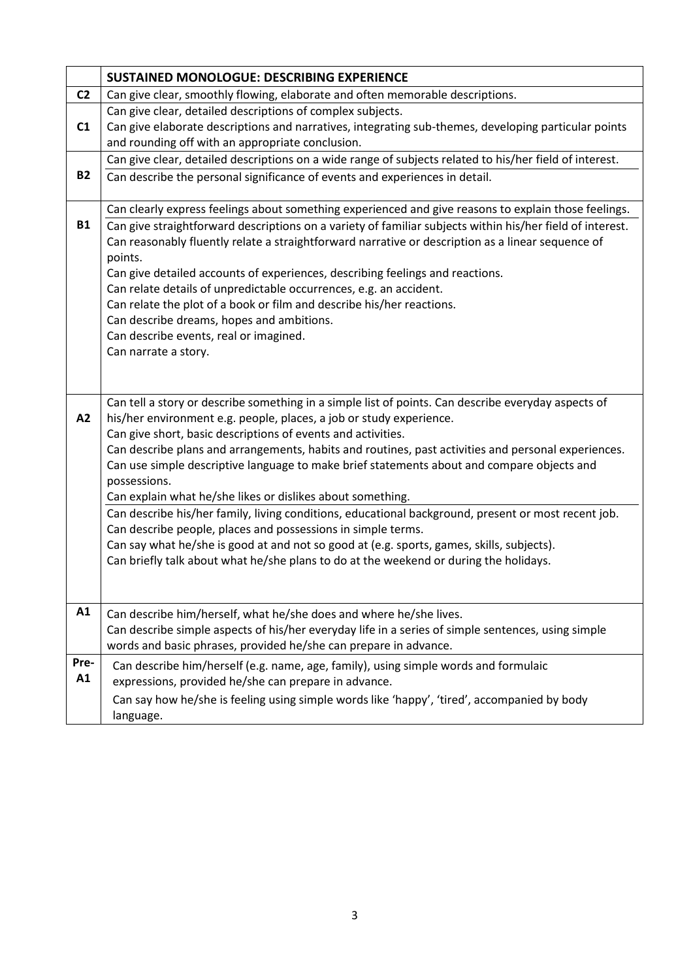<span id="page-2-0"></span>

|                | SUSTAINED MONOLOGUE: DESCRIBING EXPERIENCE                                                                                                                                                                                                                                                                                                                                       |
|----------------|----------------------------------------------------------------------------------------------------------------------------------------------------------------------------------------------------------------------------------------------------------------------------------------------------------------------------------------------------------------------------------|
| C <sub>2</sub> | Can give clear, smoothly flowing, elaborate and often memorable descriptions.                                                                                                                                                                                                                                                                                                    |
| C1             | Can give clear, detailed descriptions of complex subjects.<br>Can give elaborate descriptions and narratives, integrating sub-themes, developing particular points<br>and rounding off with an appropriate conclusion.                                                                                                                                                           |
|                | Can give clear, detailed descriptions on a wide range of subjects related to his/her field of interest.                                                                                                                                                                                                                                                                          |
| <b>B2</b>      | Can describe the personal significance of events and experiences in detail.                                                                                                                                                                                                                                                                                                      |
|                | Can clearly express feelings about something experienced and give reasons to explain those feelings.                                                                                                                                                                                                                                                                             |
| <b>B1</b>      | Can give straightforward descriptions on a variety of familiar subjects within his/her field of interest.<br>Can reasonably fluently relate a straightforward narrative or description as a linear sequence of<br>points.<br>Can give detailed accounts of experiences, describing feelings and reactions.<br>Can relate details of unpredictable occurrences, e.g. an accident. |
|                | Can relate the plot of a book or film and describe his/her reactions.                                                                                                                                                                                                                                                                                                            |
|                | Can describe dreams, hopes and ambitions.                                                                                                                                                                                                                                                                                                                                        |
|                | Can describe events, real or imagined.                                                                                                                                                                                                                                                                                                                                           |
|                | Can narrate a story.                                                                                                                                                                                                                                                                                                                                                             |
|                |                                                                                                                                                                                                                                                                                                                                                                                  |
| A2             | Can tell a story or describe something in a simple list of points. Can describe everyday aspects of<br>his/her environment e.g. people, places, a job or study experience.                                                                                                                                                                                                       |
|                | Can give short, basic descriptions of events and activities.                                                                                                                                                                                                                                                                                                                     |
|                | Can describe plans and arrangements, habits and routines, past activities and personal experiences.                                                                                                                                                                                                                                                                              |
|                | Can use simple descriptive language to make brief statements about and compare objects and                                                                                                                                                                                                                                                                                       |
|                | possessions.                                                                                                                                                                                                                                                                                                                                                                     |
|                | Can explain what he/she likes or dislikes about something.                                                                                                                                                                                                                                                                                                                       |
|                | Can describe his/her family, living conditions, educational background, present or most recent job.<br>Can describe people, places and possessions in simple terms.                                                                                                                                                                                                              |
|                | Can say what he/she is good at and not so good at (e.g. sports, games, skills, subjects).                                                                                                                                                                                                                                                                                        |
|                | Can briefly talk about what he/she plans to do at the weekend or during the holidays.                                                                                                                                                                                                                                                                                            |
|                |                                                                                                                                                                                                                                                                                                                                                                                  |
|                |                                                                                                                                                                                                                                                                                                                                                                                  |
| A1             | Can describe him/herself, what he/she does and where he/she lives.                                                                                                                                                                                                                                                                                                               |
|                | Can describe simple aspects of his/her everyday life in a series of simple sentences, using simple                                                                                                                                                                                                                                                                               |
|                | words and basic phrases, provided he/she can prepare in advance.                                                                                                                                                                                                                                                                                                                 |
| Pre-<br>A1     | Can describe him/herself (e.g. name, age, family), using simple words and formulaic<br>expressions, provided he/she can prepare in advance.                                                                                                                                                                                                                                      |
|                | Can say how he/she is feeling using simple words like 'happy', 'tired', accompanied by body                                                                                                                                                                                                                                                                                      |
|                | language.                                                                                                                                                                                                                                                                                                                                                                        |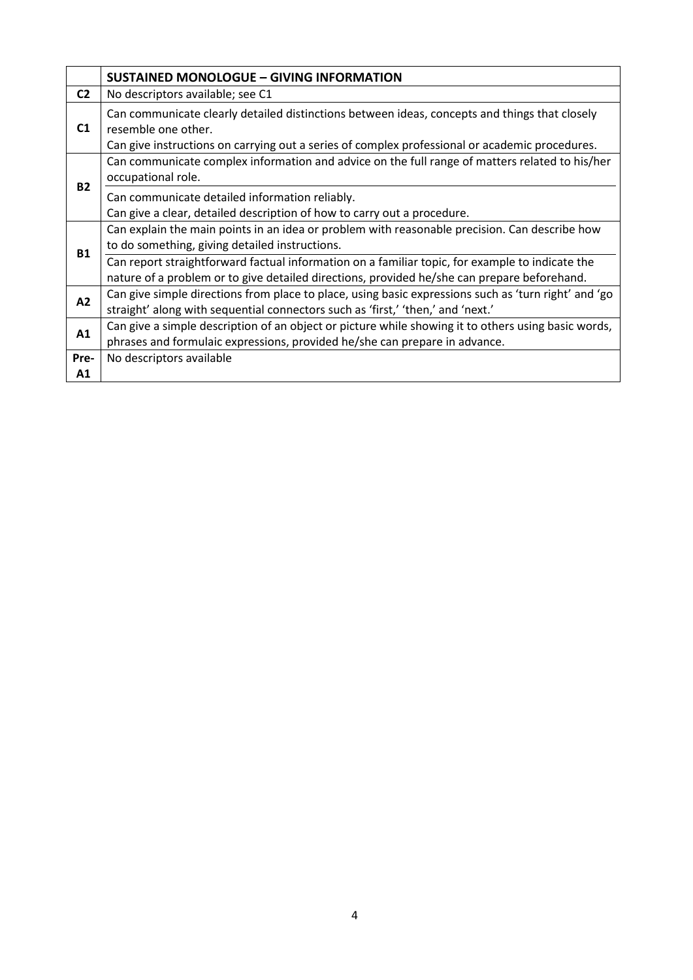<span id="page-3-0"></span>

|                | <b>SUSTAINED MONOLOGUE - GIVING INFORMATION</b>                                                                                                                                                                        |
|----------------|------------------------------------------------------------------------------------------------------------------------------------------------------------------------------------------------------------------------|
| C <sub>2</sub> | No descriptors available; see C1                                                                                                                                                                                       |
| C1             | Can communicate clearly detailed distinctions between ideas, concepts and things that closely<br>resemble one other.<br>Can give instructions on carrying out a series of complex professional or academic procedures. |
|                | Can communicate complex information and advice on the full range of matters related to his/her<br>occupational role.                                                                                                   |
| <b>B2</b>      | Can communicate detailed information reliably.<br>Can give a clear, detailed description of how to carry out a procedure.                                                                                              |
|                | Can explain the main points in an idea or problem with reasonable precision. Can describe how<br>to do something, giving detailed instructions.                                                                        |
| <b>B1</b>      | Can report straightforward factual information on a familiar topic, for example to indicate the<br>nature of a problem or to give detailed directions, provided he/she can prepare beforehand.                         |
| A2             | Can give simple directions from place to place, using basic expressions such as 'turn right' and 'go<br>straight' along with sequential connectors such as 'first,' 'then,' and 'next.'                                |
| A1             | Can give a simple description of an object or picture while showing it to others using basic words,<br>phrases and formulaic expressions, provided he/she can prepare in advance.                                      |
| Pre-<br>A1     | No descriptors available                                                                                                                                                                                               |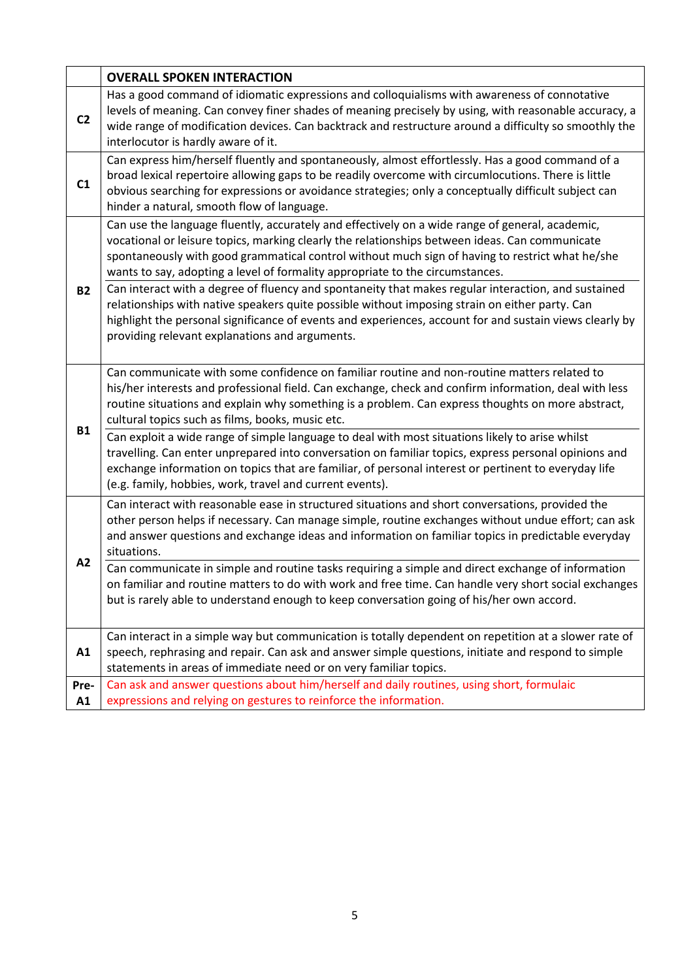<span id="page-4-0"></span>

|                | <b>OVERALL SPOKEN INTERACTION</b>                                                                                                                                                                                                                                                                                                                                                     |
|----------------|---------------------------------------------------------------------------------------------------------------------------------------------------------------------------------------------------------------------------------------------------------------------------------------------------------------------------------------------------------------------------------------|
| C <sub>2</sub> | Has a good command of idiomatic expressions and colloquialisms with awareness of connotative<br>levels of meaning. Can convey finer shades of meaning precisely by using, with reasonable accuracy, a<br>wide range of modification devices. Can backtrack and restructure around a difficulty so smoothly the<br>interlocutor is hardly aware of it.                                 |
| C1             | Can express him/herself fluently and spontaneously, almost effortlessly. Has a good command of a<br>broad lexical repertoire allowing gaps to be readily overcome with circumlocutions. There is little<br>obvious searching for expressions or avoidance strategies; only a conceptually difficult subject can<br>hinder a natural, smooth flow of language.                         |
|                | Can use the language fluently, accurately and effectively on a wide range of general, academic,<br>vocational or leisure topics, marking clearly the relationships between ideas. Can communicate<br>spontaneously with good grammatical control without much sign of having to restrict what he/she<br>wants to say, adopting a level of formality appropriate to the circumstances. |
| <b>B2</b>      | Can interact with a degree of fluency and spontaneity that makes regular interaction, and sustained<br>relationships with native speakers quite possible without imposing strain on either party. Can<br>highlight the personal significance of events and experiences, account for and sustain views clearly by<br>providing relevant explanations and arguments.                    |
|                | Can communicate with some confidence on familiar routine and non-routine matters related to<br>his/her interests and professional field. Can exchange, check and confirm information, deal with less<br>routine situations and explain why something is a problem. Can express thoughts on more abstract,<br>cultural topics such as films, books, music etc.                         |
| <b>B1</b>      | Can exploit a wide range of simple language to deal with most situations likely to arise whilst<br>travelling. Can enter unprepared into conversation on familiar topics, express personal opinions and<br>exchange information on topics that are familiar, of personal interest or pertinent to everyday life<br>(e.g. family, hobbies, work, travel and current events).           |
|                | Can interact with reasonable ease in structured situations and short conversations, provided the<br>other person helps if necessary. Can manage simple, routine exchanges without undue effort; can ask<br>and answer questions and exchange ideas and information on familiar topics in predictable everyday<br>situations.                                                          |
| A2             | Can communicate in simple and routine tasks requiring a simple and direct exchange of information<br>on familiar and routine matters to do with work and free time. Can handle very short social exchanges<br>but is rarely able to understand enough to keep conversation going of his/her own accord.                                                                               |
| A1             | Can interact in a simple way but communication is totally dependent on repetition at a slower rate of<br>speech, rephrasing and repair. Can ask and answer simple questions, initiate and respond to simple<br>statements in areas of immediate need or on very familiar topics.                                                                                                      |
| Pre-<br>A1     | Can ask and answer questions about him/herself and daily routines, using short, formulaic<br>expressions and relying on gestures to reinforce the information.                                                                                                                                                                                                                        |
|                |                                                                                                                                                                                                                                                                                                                                                                                       |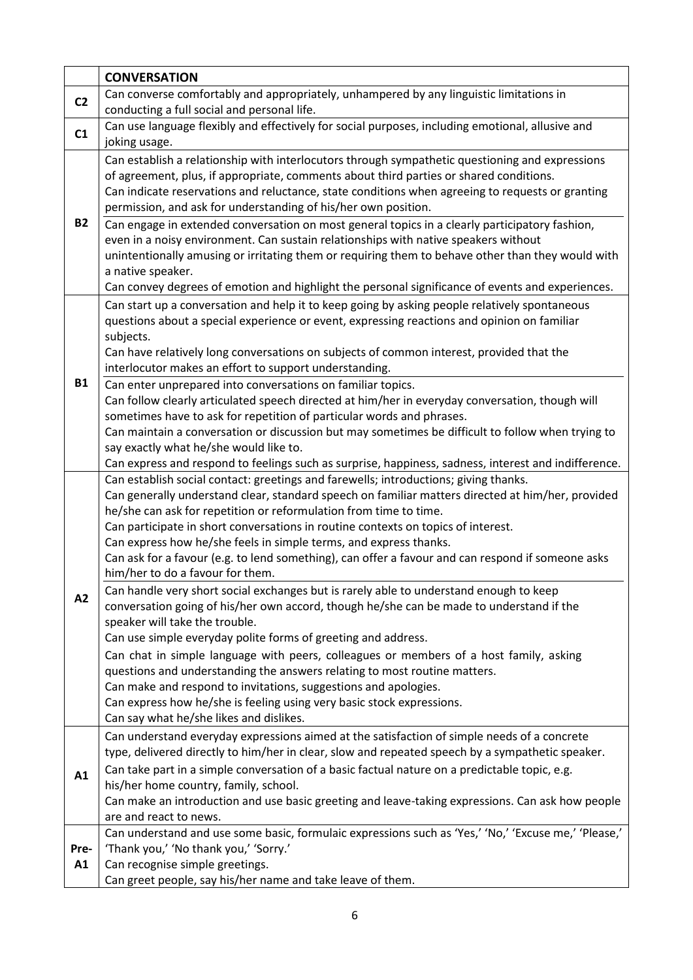<span id="page-5-0"></span>

|                | <b>CONVERSATION</b>                                                                                                                                                                                                                                                                                                                                                                                                                                                                                                                                                                                                                                                                                                                                                                                                                                                                                                                                                                                                                                                                                                                                                                                                      |
|----------------|--------------------------------------------------------------------------------------------------------------------------------------------------------------------------------------------------------------------------------------------------------------------------------------------------------------------------------------------------------------------------------------------------------------------------------------------------------------------------------------------------------------------------------------------------------------------------------------------------------------------------------------------------------------------------------------------------------------------------------------------------------------------------------------------------------------------------------------------------------------------------------------------------------------------------------------------------------------------------------------------------------------------------------------------------------------------------------------------------------------------------------------------------------------------------------------------------------------------------|
| C <sub>2</sub> | Can converse comfortably and appropriately, unhampered by any linguistic limitations in<br>conducting a full social and personal life.                                                                                                                                                                                                                                                                                                                                                                                                                                                                                                                                                                                                                                                                                                                                                                                                                                                                                                                                                                                                                                                                                   |
| C1             | Can use language flexibly and effectively for social purposes, including emotional, allusive and<br>joking usage.                                                                                                                                                                                                                                                                                                                                                                                                                                                                                                                                                                                                                                                                                                                                                                                                                                                                                                                                                                                                                                                                                                        |
| <b>B2</b>      | Can establish a relationship with interlocutors through sympathetic questioning and expressions<br>of agreement, plus, if appropriate, comments about third parties or shared conditions.<br>Can indicate reservations and reluctance, state conditions when agreeing to requests or granting<br>permission, and ask for understanding of his/her own position.<br>Can engage in extended conversation on most general topics in a clearly participatory fashion,<br>even in a noisy environment. Can sustain relationships with native speakers without<br>unintentionally amusing or irritating them or requiring them to behave other than they would with<br>a native speaker.                                                                                                                                                                                                                                                                                                                                                                                                                                                                                                                                       |
|                | Can convey degrees of emotion and highlight the personal significance of events and experiences.                                                                                                                                                                                                                                                                                                                                                                                                                                                                                                                                                                                                                                                                                                                                                                                                                                                                                                                                                                                                                                                                                                                         |
|                | Can start up a conversation and help it to keep going by asking people relatively spontaneous<br>questions about a special experience or event, expressing reactions and opinion on familiar<br>subjects.<br>Can have relatively long conversations on subjects of common interest, provided that the                                                                                                                                                                                                                                                                                                                                                                                                                                                                                                                                                                                                                                                                                                                                                                                                                                                                                                                    |
|                | interlocutor makes an effort to support understanding.                                                                                                                                                                                                                                                                                                                                                                                                                                                                                                                                                                                                                                                                                                                                                                                                                                                                                                                                                                                                                                                                                                                                                                   |
| <b>B1</b>      | Can enter unprepared into conversations on familiar topics.<br>Can follow clearly articulated speech directed at him/her in everyday conversation, though will<br>sometimes have to ask for repetition of particular words and phrases.<br>Can maintain a conversation or discussion but may sometimes be difficult to follow when trying to<br>say exactly what he/she would like to.                                                                                                                                                                                                                                                                                                                                                                                                                                                                                                                                                                                                                                                                                                                                                                                                                                   |
|                | Can express and respond to feelings such as surprise, happiness, sadness, interest and indifference.                                                                                                                                                                                                                                                                                                                                                                                                                                                                                                                                                                                                                                                                                                                                                                                                                                                                                                                                                                                                                                                                                                                     |
| A2             | Can establish social contact: greetings and farewells; introductions; giving thanks.<br>Can generally understand clear, standard speech on familiar matters directed at him/her, provided<br>he/she can ask for repetition or reformulation from time to time.<br>Can participate in short conversations in routine contexts on topics of interest.<br>Can express how he/she feels in simple terms, and express thanks.<br>Can ask for a favour (e.g. to lend something), can offer a favour and can respond if someone asks<br>him/her to do a favour for them.<br>Can handle very short social exchanges but is rarely able to understand enough to keep<br>conversation going of his/her own accord, though he/she can be made to understand if the<br>speaker will take the trouble.<br>Can use simple everyday polite forms of greeting and address.<br>Can chat in simple language with peers, colleagues or members of a host family, asking<br>questions and understanding the answers relating to most routine matters.<br>Can make and respond to invitations, suggestions and apologies.<br>Can express how he/she is feeling using very basic stock expressions.<br>Can say what he/she likes and dislikes. |
| A1             | Can understand everyday expressions aimed at the satisfaction of simple needs of a concrete<br>type, delivered directly to him/her in clear, slow and repeated speech by a sympathetic speaker.<br>Can take part in a simple conversation of a basic factual nature on a predictable topic, e.g.<br>his/her home country, family, school.<br>Can make an introduction and use basic greeting and leave-taking expressions. Can ask how people<br>are and react to news.                                                                                                                                                                                                                                                                                                                                                                                                                                                                                                                                                                                                                                                                                                                                                  |
| Pre-<br>A1     | Can understand and use some basic, formulaic expressions such as 'Yes,' 'No,' 'Excuse me,' 'Please,'<br>'Thank you,' 'No thank you,' 'Sorry.'<br>Can recognise simple greetings.<br>Can greet people, say his/her name and take leave of them.                                                                                                                                                                                                                                                                                                                                                                                                                                                                                                                                                                                                                                                                                                                                                                                                                                                                                                                                                                           |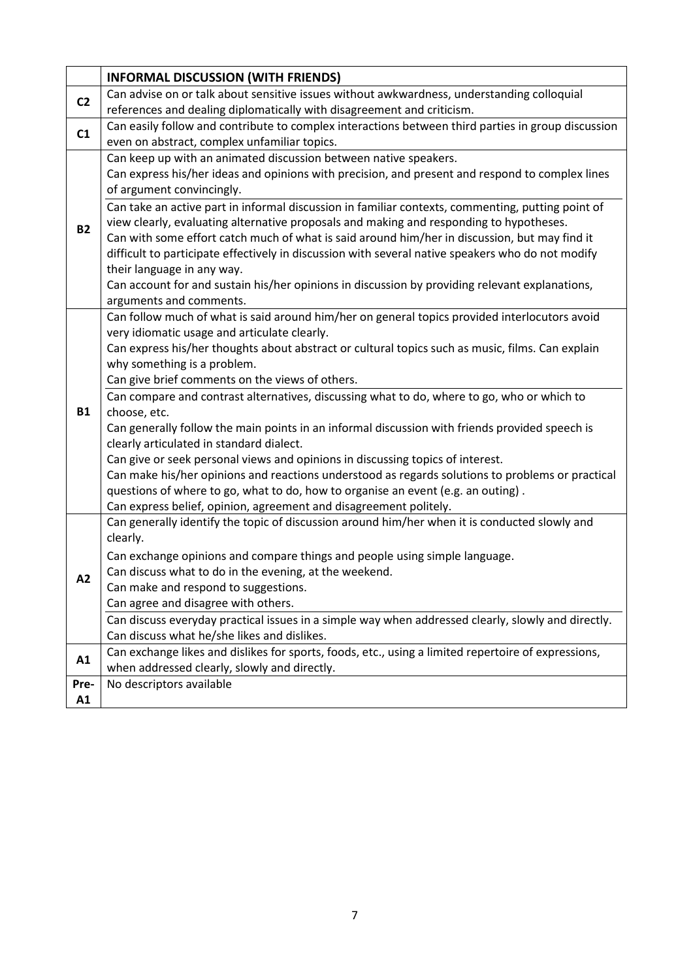<span id="page-6-0"></span>

|                | <b>INFORMAL DISCUSSION (WITH FRIENDS)</b>                                                                                                  |
|----------------|--------------------------------------------------------------------------------------------------------------------------------------------|
| C <sub>2</sub> | Can advise on or talk about sensitive issues without awkwardness, understanding colloquial                                                 |
|                | references and dealing diplomatically with disagreement and criticism.                                                                     |
| C1             | Can easily follow and contribute to complex interactions between third parties in group discussion                                         |
|                | even on abstract, complex unfamiliar topics.                                                                                               |
|                | Can keep up with an animated discussion between native speakers.                                                                           |
|                | Can express his/her ideas and opinions with precision, and present and respond to complex lines                                            |
|                | of argument convincingly.                                                                                                                  |
|                | Can take an active part in informal discussion in familiar contexts, commenting, putting point of                                          |
| <b>B2</b>      | view clearly, evaluating alternative proposals and making and responding to hypotheses.                                                    |
|                | Can with some effort catch much of what is said around him/her in discussion, but may find it                                              |
|                | difficult to participate effectively in discussion with several native speakers who do not modify                                          |
|                | their language in any way.                                                                                                                 |
|                | Can account for and sustain his/her opinions in discussion by providing relevant explanations,                                             |
|                | arguments and comments.                                                                                                                    |
|                | Can follow much of what is said around him/her on general topics provided interlocutors avoid                                              |
|                | very idiomatic usage and articulate clearly.                                                                                               |
|                | Can express his/her thoughts about abstract or cultural topics such as music, films. Can explain                                           |
|                | why something is a problem.                                                                                                                |
|                | Can give brief comments on the views of others.                                                                                            |
|                | Can compare and contrast alternatives, discussing what to do, where to go, who or which to                                                 |
| <b>B1</b>      | choose, etc.                                                                                                                               |
|                | Can generally follow the main points in an informal discussion with friends provided speech is<br>clearly articulated in standard dialect. |
|                | Can give or seek personal views and opinions in discussing topics of interest.                                                             |
|                | Can make his/her opinions and reactions understood as regards solutions to problems or practical                                           |
|                | questions of where to go, what to do, how to organise an event (e.g. an outing).                                                           |
|                | Can express belief, opinion, agreement and disagreement politely.                                                                          |
|                | Can generally identify the topic of discussion around him/her when it is conducted slowly and                                              |
|                | clearly.                                                                                                                                   |
|                | Can exchange opinions and compare things and people using simple language.                                                                 |
|                | Can discuss what to do in the evening, at the weekend.                                                                                     |
| A2             | Can make and respond to suggestions.                                                                                                       |
|                | Can agree and disagree with others.                                                                                                        |
|                | Can discuss everyday practical issues in a simple way when addressed clearly, slowly and directly.                                         |
|                | Can discuss what he/she likes and dislikes.                                                                                                |
|                | Can exchange likes and dislikes for sports, foods, etc., using a limited repertoire of expressions,                                        |
| A1             | when addressed clearly, slowly and directly.                                                                                               |
| Pre-           | No descriptors available                                                                                                                   |
| A1             |                                                                                                                                            |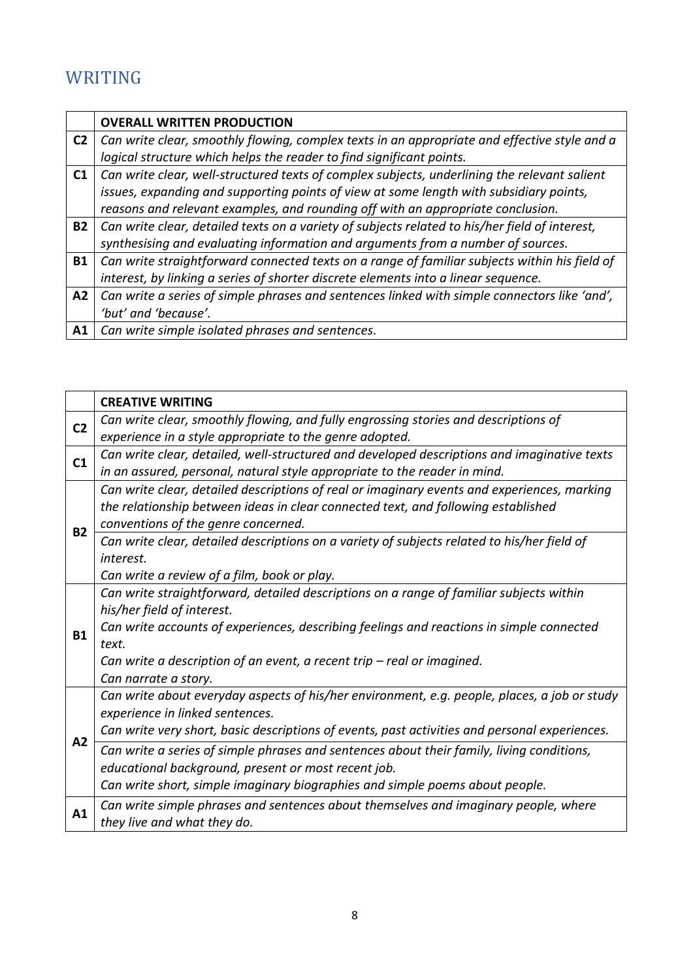## <span id="page-7-0"></span>WRITING

<span id="page-7-1"></span>

|                | <b>OVERALL WRITTEN PRODUCTION</b>                                                              |
|----------------|------------------------------------------------------------------------------------------------|
| C2             | Can write clear, smoothly flowing, complex texts in an appropriate and effective style and a   |
|                | logical structure which helps the reader to find significant points.                           |
| C <sub>1</sub> | Can write clear, well-structured texts of complex subjects, underlining the relevant salient   |
|                | issues, expanding and supporting points of view at some length with subsidiary points,         |
|                | reasons and relevant examples, and rounding off with an appropriate conclusion.                |
| B2             | Can write clear, detailed texts on a variety of subjects related to his/her field of interest, |
|                | synthesising and evaluating information and arguments from a number of sources.                |
| <b>B1</b>      | Can write straightforward connected texts on a range of familiar subjects within his field of  |
|                | interest, by linking a series of shorter discrete elements into a linear sequence.             |
| A2             | Can write a series of simple phrases and sentences linked with simple connectors like 'and',   |
|                | 'but' and 'because'.                                                                           |
| A1             | Can write simple isolated phrases and sentences.                                               |

<span id="page-7-2"></span>

|                | <b>CREATIVE WRITING</b>                                                                       |
|----------------|-----------------------------------------------------------------------------------------------|
| C <sub>2</sub> | Can write clear, smoothly flowing, and fully engrossing stories and descriptions of           |
|                | experience in a style appropriate to the genre adopted.                                       |
| C1             | Can write clear, detailed, well-structured and developed descriptions and imaginative texts   |
|                | in an assured, personal, natural style appropriate to the reader in mind.                     |
|                | Can write clear, detailed descriptions of real or imaginary events and experiences, marking   |
|                | the relationship between ideas in clear connected text, and following established             |
|                | conventions of the genre concerned.                                                           |
| <b>B2</b>      | Can write clear, detailed descriptions on a variety of subjects related to his/her field of   |
|                | interest.                                                                                     |
|                | Can write a review of a film, book or play.                                                   |
|                | Can write straightforward, detailed descriptions on a range of familiar subjects within       |
|                | his/her field of interest.                                                                    |
| <b>B1</b>      | Can write accounts of experiences, describing feelings and reactions in simple connected      |
|                | text.                                                                                         |
|                | Can write a description of an event, a recent trip $-$ real or imagined.                      |
|                | Can narrate a story.                                                                          |
|                | Can write about everyday aspects of his/her environment, e.g. people, places, a job or study  |
|                | experience in linked sentences.                                                               |
|                | Can write very short, basic descriptions of events, past activities and personal experiences. |
| A <sub>2</sub> | Can write a series of simple phrases and sentences about their family, living conditions,     |
|                | educational background, present or most recent job.                                           |
|                | Can write short, simple imaginary biographies and simple poems about people.                  |
|                | Can write simple phrases and sentences about themselves and imaginary people, where           |
| A <sub>1</sub> | they live and what they do.                                                                   |
|                |                                                                                               |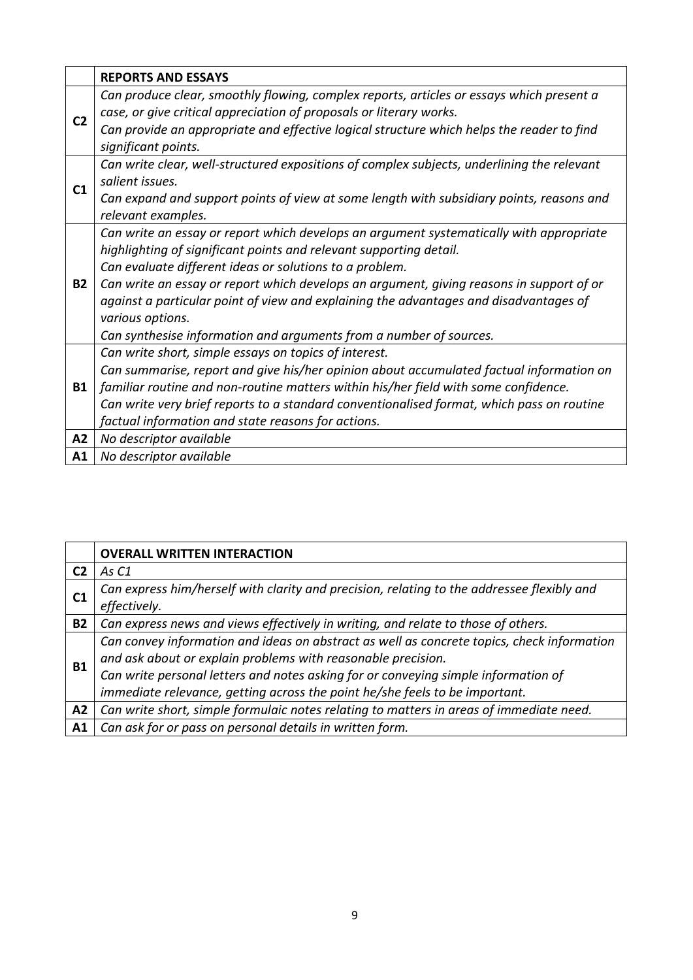<span id="page-8-0"></span>

|                | <b>REPORTS AND ESSAYS</b>                                                                  |
|----------------|--------------------------------------------------------------------------------------------|
| C <sub>2</sub> | Can produce clear, smoothly flowing, complex reports, articles or essays which present a   |
|                | case, or give critical appreciation of proposals or literary works.                        |
|                | Can provide an appropriate and effective logical structure which helps the reader to find  |
|                | significant points.                                                                        |
|                | Can write clear, well-structured expositions of complex subjects, underlining the relevant |
| C <sub>1</sub> | salient issues.                                                                            |
|                | Can expand and support points of view at some length with subsidiary points, reasons and   |
|                | relevant examples.                                                                         |
|                | Can write an essay or report which develops an argument systematically with appropriate    |
|                | highlighting of significant points and relevant supporting detail.                         |
|                | Can evaluate different ideas or solutions to a problem.                                    |
| <b>B2</b>      | Can write an essay or report which develops an argument, giving reasons in support of or   |
|                | against a particular point of view and explaining the advantages and disadvantages of      |
|                | various options.                                                                           |
|                | Can synthesise information and arguments from a number of sources.                         |
|                | Can write short, simple essays on topics of interest.                                      |
|                | Can summarise, report and give his/her opinion about accumulated factual information on    |
| <b>B1</b>      | familiar routine and non-routine matters within his/her field with some confidence.        |
|                | Can write very brief reports to a standard conventionalised format, which pass on routine  |
|                | factual information and state reasons for actions.                                         |
| A2             | No descriptor available                                                                    |
| A1             | No descriptor available                                                                    |

<span id="page-8-1"></span>

|                | <b>OVERALL WRITTEN INTERACTION</b>                                                         |
|----------------|--------------------------------------------------------------------------------------------|
| C <sub>2</sub> | As C1                                                                                      |
| C <sub>1</sub> | Can express him/herself with clarity and precision, relating to the addressee flexibly and |
|                | effectively.                                                                               |
| <b>B2</b>      | Can express news and views effectively in writing, and relate to those of others.          |
| <b>B1</b>      | Can convey information and ideas on abstract as well as concrete topics, check information |
|                | and ask about or explain problems with reasonable precision.                               |
|                | Can write personal letters and notes asking for or conveying simple information of         |
|                | immediate relevance, getting across the point he/she feels to be important.                |
| A <sub>2</sub> | Can write short, simple formulaic notes relating to matters in areas of immediate need.    |
| A1             | Can ask for or pass on personal details in written form.                                   |